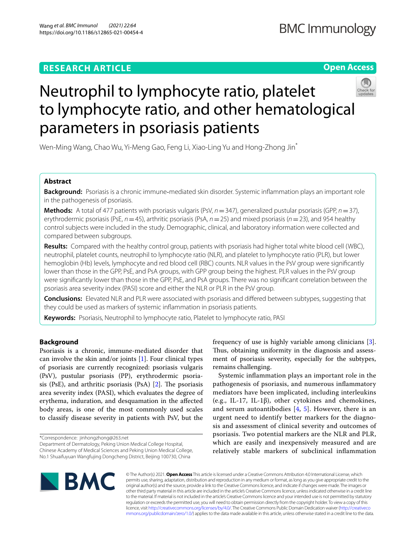# **RESEARCH ARTICLE**

**Open Access**

# Neutrophil to lymphocyte ratio, platelet to lymphocyte ratio, and other hematological parameters in psoriasis patients

Wen-Ming Wang, Chao Wu, Yi-Meng Gao, Feng Li, Xiao-Ling Yu and Hong-Zhong Jin<sup>\*</sup>

# **Abstract**

**Background:** Psoriasis is a chronic immune‐mediated skin disorder. Systemic infammation plays an important role in the pathogenesis of psoriasis.

**Methods:** A total of 477 patients with psoriasis vulgaris (PsV,  $n = 347$ ), generalized pustular psoriasis (GPP,  $n = 37$ ), erythrodermic psoriasis (PsE, *n*=45), arthritic psoriasis (PsA, *n*=25) and mixed psoriasis (*n*=23), and 954 healthy control subjects were included in the study. Demographic, clinical, and laboratory information were collected and compared between subgroups.

**Results:** Compared with the healthy control group, patients with psoriasis had higher total white blood cell (WBC), neutrophil, platelet counts, neutrophil to lymphocyte ratio (NLR), and platelet to lymphocyte ratio (PLR), but lower hemoglobin (Hb) levels, lymphocyte and red blood cell (RBC) counts. NLR values in the PsV group were signifcantly lower than those in the GPP, PsE, and PsA groups, with GPP group being the highest. PLR values in the PsV group were signifcantly lower than those in the GPP, PsE, and PsA groups. There was no signifcant correlation between the psoriasis area severity index (PASI) score and either the NLR or PLR in the PsV group.

**Conclusions:** Elevated NLR and PLR were associated with psoriasis and difered between subtypes, suggesting that they could be used as markers of systemic infammation in psoriasis patients.

**Keywords:** Psoriasis, Neutrophil to lymphocyte ratio, Platelet to lymphocyte ratio, PASI

# **Background**

Psoriasis is a chronic, immune-mediated disorder that can involve the skin and/or joints  $[1]$  $[1]$ . Four clinical types of psoriasis are currently recognized: psoriasis vulgaris (PsV), pustular psoriasis (PP), erythrodermic psoriasis (PsE), and arthritic psoriasis (PsA)  $[2]$  $[2]$ . The psoriasis area severity index (PASI), which evaluates the degree of erythema, induration, and desquamation in the afected body areas, is one of the most commonly used scales to classify disease severity in patients with PsV, but the

\*Correspondence: jinhongzhong@263.net

Department of Dermatology, Peking Union Medical College Hospital, Chinese Academy of Medical Sciences and Peking Union Medical College, No.1 Shuaifuyuan Wangfujing Dongcheng District, Beijing 100730, China

frequency of use is highly variable among clinicians [\[3](#page-5-2)]. Thus, obtaining uniformity in the diagnosis and assessment of psoriasis severity, especially for the subtypes, remains challenging.

Systemic infammation plays an important role in the pathogenesis of psoriasis, and numerous infammatory mediators have been implicated, including interleukins (e.g., IL-17, IL-1β), other cytokines and chemokines, and serum autoantibodies  $[4, 5]$  $[4, 5]$  $[4, 5]$  $[4, 5]$ . However, there is an urgent need to identify better markers for the diagnosis and assessment of clinical severity and outcomes of psoriasis. Two potential markers are the NLR and PLR, which are easily and inexpensively measured and are relatively stable markers of subclinical infammation



© The Author(s) 2021. **Open Access** This article is licensed under a Creative Commons Attribution 4.0 International License, which permits use, sharing, adaptation, distribution and reproduction in any medium or format, as long as you give appropriate credit to the original author(s) and the source, provide a link to the Creative Commons licence, and indicate if changes were made. The images or other third party material in this article are included in the article's Creative Commons licence, unless indicated otherwise in a credit line to the material. If material is not included in the article's Creative Commons licence and your intended use is not permitted by statutory regulation or exceeds the permitted use, you will need to obtain permission directly from the copyright holder. To view a copy of this licence, visit [http://creativecommons.org/licenses/by/4.0/.](http://creativecommons.org/licenses/by/4.0/) The Creative Commons Public Domain Dedication waiver ([http://creativeco](http://creativecommons.org/publicdomain/zero/1.0/) [mmons.org/publicdomain/zero/1.0/](http://creativecommons.org/publicdomain/zero/1.0/)) applies to the data made available in this article, unless otherwise stated in a credit line to the data.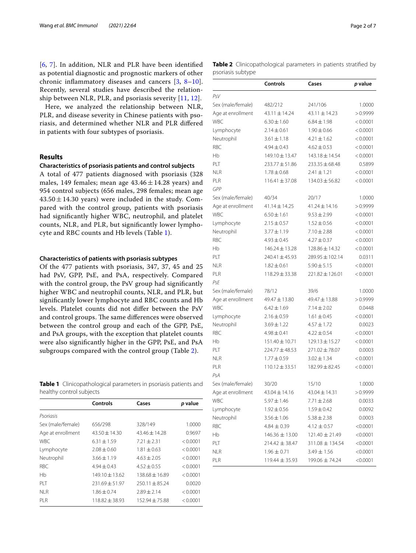[[6](#page-5-5), [7](#page-5-6)]. In addition, NLR and PLR have been identifed as potential diagnostic and prognostic markers of other chronic infammatory diseases and cancers [[3](#page-5-2), [8–](#page-5-7)[10\]](#page-5-8). Recently, several studies have described the relationship between NLR, PLR, and psoriasis severity [\[11](#page-5-9), [12](#page-5-10)].

Here, we analyzed the relationship between NLR, PLR, and disease severity in Chinese patients with psoriasis, and determined whether NLR and PLR difered in patients with four subtypes of psoriasis.

# **Results**

## **Characteristics of psoriasis patients and control subjects**

A total of 477 patients diagnosed with psoriasis (328 males, 149 females; mean age  $43.46 \pm 14.28$  years) and 954 control subjects (656 males, 298 females; mean age  $43.50 \pm 14.30$  years) were included in the study. Compared with the control group, patients with psoriasis had signifcantly higher WBC, neutrophil, and platelet counts, NLR, and PLR, but signifcantly lower lymphocyte and RBC counts and Hb levels (Table [1](#page-1-0)).

# **Characteristics of patients with psoriasis subtypes**

Of the 477 patients with psoriasis, 347, 37, 45 and 25 had PsV, GPP, PsE, and PsA, respectively. Compared with the control group, the PsV group had signifcantly higher WBC and neutrophil counts, NLR, and PLR, but signifcantly lower lymphocyte and RBC counts and Hb levels. Platelet counts did not difer between the PsV and control groups. The same differences were observed between the control group and each of the GPP, PsE, and PsA groups, with the exception that platelet counts were also signifcantly higher in the GPP, PsE, and PsA subgroups compared with the control group (Table [2\)](#page-1-1).

<span id="page-1-0"></span>**Table 1** Clinicopathological parameters in psoriasis patients and healthy control subjects

|                   | Controls          | Cases             | p value  |
|-------------------|-------------------|-------------------|----------|
| Psoriasis         |                   |                   |          |
| Sex (male/female) | 656/298           | 328/149           | 1.0000   |
| Age at enrollment | $43.50 \pm 14.30$ | $43.46 \pm 14.28$ | 0.9697   |
| <b>WBC</b>        | $6.31 \pm 1.59$   | $7.21 + 2.31$     | < 0.0001 |
| Lymphocyte        | $2.08 + 0.60$     | $1.81 + 0.63$     | < 0.0001 |
| Neutrophil        | $3.66 \pm 1.19$   | $4.63 + 2.05$     | < 0.0001 |
| <b>RBC</b>        | $4.94 + 0.43$     | $4.52 + 0.55$     | < 0.0001 |
| Hb                | $149.10 + 13.62$  | $138.68 + 16.89$  | < 0.0001 |
| PIT               | $231.69 + 51.97$  | $250.11 + 85.24$  | 0.0020   |
| NI R              | $1.86 \pm 0.74$   | $7.89 + 7.14$     | < 0.0001 |
| PI R              | $118.82 + 38.93$  | $152.94 + 75.88$  | < 0.0001 |
|                   |                   |                   |          |

<span id="page-1-1"></span>**Table 2** Clinicopathological parameters in patients stratifed by psoriasis subtype

|                   | Controls           | Cases               | <i>p</i> value |
|-------------------|--------------------|---------------------|----------------|
| PsV               |                    |                     |                |
| Sex (male/female) | 482/212            | 241/106             | 1.0000         |
| Age at enrollment | 43.11 ± 14.24      | 43.11 ± 14.23       | >0.9999        |
| <b>WBC</b>        | $6.30 \pm 1.60$    | $6.84 \pm 1.98$     | < 0.0001       |
| Lymphocyte        | $2.14 \pm 0.61$    | $1.90 \pm 0.66$     | < 0.0001       |
| Neutrophil        | $3.61 \pm 1.18$    | $4.21 \pm 1.62$     | < 0.0001       |
| RBC               | $4.94 \pm 0.43$    | $4.62 \pm 0.53$     | < 0.0001       |
| Hb                | 149.10 ± 13.47     | 143.18 ± 14.54      | < 0.0001       |
| PLT               | 233.77 ± 51.86     | $233.35 \pm 68.48$  | 0.5899         |
| NLR               | $1.78 \pm 0.68$    | $2.41 \pm 1.21$     | < 0.0001       |
| PLR               | $116.41 \pm 37.08$ | $134.03 \pm 56.82$  | < 0.0001       |
| GPP               |                    |                     |                |
| Sex (male/female) | 40/34              | 20/17               | 1.0000         |
| Age at enrollment | 41.14±14.25        | 41.24±14.16         | >0.9999        |
| <b>WBC</b>        | $6.50 \pm 1.61$    | $9.53 \pm 2.99$     | < 0.0001       |
| Lymphocyte        | $2.15 \pm 0.57$    | $1.52 \pm 0.56$     | < 0.0001       |
| Neutrophil        | $3.77 \pm 1.19$    | $7.10 \pm 2.88$     | < 0.0001       |
| RBC               | $4.93 \pm 0.45$    | $4.27 \pm 0.37$     | < 0.0001       |
| Нb                | $146.24 \pm 13.28$ | $128.86 \pm 14.32$  | < 0.0001       |
| PLT               | 240.41 ± 45.93     | 289.95 ± 102.14     | 0.0311         |
| <b>NLR</b>        | $1.82 \pm 0.61$    | $5.90 \pm 5.15$     | < 0.0001       |
| PLR               | $118.29 \pm 33.38$ | $221.82 \pm 126.01$ | < 0.0001       |
| PsE               |                    |                     |                |
| Sex (male/female) | 78/12              | 39/6                | 1.0000         |
| Age at enrollment | 49.47 ± 13.80      | 49.47 ± 13.88       | >0.9999        |
| <b>WBC</b>        | $6.42 \pm 1.69$    | $7.14 \pm 2.02$     | 0.0448         |
| Lymphocyte        | $2.16 \pm 0.59$    | $1.61 \pm 0.45$     | < 0.0001       |
| Neutrophil        | $3.69 \pm 1.22$    | $4.57 \pm 1.72$     | 0.0023         |
| RBC               | $4.98 \pm 0.41$    | $4.22 \pm 0.54$     | < 0.0001       |
| Нb                | $151.40 \pm 10.71$ | $129.13 \pm 15.27$  | < 0.0001       |
| PLT               | 224.77 ± 48.53     | 271.02±78.07        | 0.0003         |
| <b>NLR</b>        | $1.77 \pm 0.59$    | $3.02 \pm 1.34$     | < 0.0001       |
| PLR               | $110.12 \pm 33.51$ | $182.99 \pm 82.45$  | < 0.0001       |
| PsA               |                    |                     |                |
| Sex (male/female) | 30/20              | 15/10               | 1.0000         |
| Age at enrollment | 43.04±14.16        | 43.04±14.31         | >0.9999        |
| WBC               | $5.97 \pm 1.46$    | 7.71 $\pm$ 2.68     | 0.0033         |
| Lymphocyte        | $1.92 \pm 0.56$    | $1.59 \pm 0.42$     | 0.0092         |
| Neutrophil        | $3.56 \pm 1.06$    | $5.38 \pm 2.38$     | 0.0003         |
| <b>RBC</b>        | $4.84 \pm 0.39$    | $4.12 \pm 0.57$     | < 0.0001       |
| Hb                | $146.36 \pm 13.00$ | $121.40 \pm 21.49$  | < 0.0001       |
| PLT               | $214.42 \pm 38.47$ | 311.08 ± 134.54     | < 0.0001       |
| NLR               | $1.96 \pm 0.71$    | $3.49 \pm 1.56$     | < 0.0001       |
| PLR               | $119.44 \pm 35.93$ | 199.06 ± 74.24      | < 0.0001       |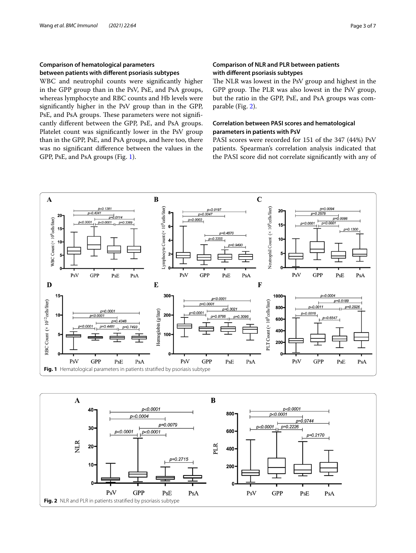# **Comparison of hematological parameters between patients with diferent psoriasis subtypes**

WBC and neutrophil counts were signifcantly higher in the GPP group than in the PsV, PsE, and PsA groups, whereas lymphocyte and RBC counts and Hb levels were signifcantly higher in the PsV group than in the GPP, PsE, and PsA groups. These parameters were not significantly diferent between the GPP, PsE, and PsA groups. Platelet count was signifcantly lower in the PsV group than in the GPP, PsE, and PsA groups, and here too, there was no signifcant diference between the values in the GPP, PsE, and PsA groups (Fig. [1\)](#page-2-0).

# **Comparison of NLR and PLR between patients with diferent psoriasis subtypes**

The NLR was lowest in the PsV group and highest in the GPP group. The PLR was also lowest in the PsV group, but the ratio in the GPP, PsE, and PsA groups was comparable (Fig. [2](#page-2-1)).

# **Correlation between PASI scores and hematological parameters in patients with PsV**

PASI scores were recorded for 151 of the 347 (44%) PsV patients. Spearman's correlation analysis indicated that the PASI score did not correlate signifcantly with any of



<span id="page-2-1"></span><span id="page-2-0"></span>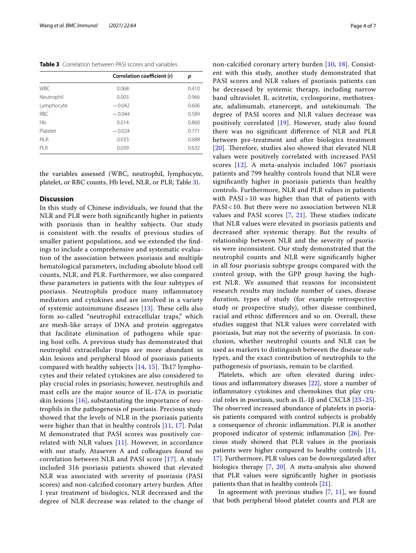<span id="page-3-0"></span>**Table 3** Correlation between PASI scores and variables

|            | Correlation coefficient (r) | р     |
|------------|-----------------------------|-------|
| <b>WBC</b> | 0.068                       | 0.410 |
| Neutrophil | 0.003                       | 0.966 |
| Lymphocyte | $-0.042$                    | 0.606 |
| <b>RBC</b> | $-0.044$                    | 0.589 |
| Hb         | 0.014                       | 0.860 |
| Platelet   | $-0.024$                    | 0.771 |
| NI R       | 0.033                       | 0.688 |
| PLR        | 0.039                       | 0.632 |

the variables assessed (WBC, neutrophil, lymphocyte, platelet, or RBC counts, Hb level, NLR, or PLR; Table [3\)](#page-3-0).

# **Discussion**

In this study of Chinese individuals, we found that the NLR and PLR were both signifcantly higher in patients with psoriasis than in healthy subjects. Our study is consistent with the results of previous studies of smaller patient populations, and we extended the fndings to include a comprehensive and systematic evaluation of the association between psoriasis and multiple hematological parameters, including absolute blood cell counts, NLR, and PLR. Furthermore, we also compared these parameters in patients with the four subtypes of psoriasis. Neutrophils produce many infammatory mediators and cytokines and are involved in a variety of systemic autoimmune diseases  $[13]$  $[13]$ . These cells also form so-called "neutrophil extracellular traps," which are mesh-like arrays of DNA and protein aggregates that facilitate elimination of pathogens while sparing host cells. A previous study has demonstrated that neutrophil extracellular traps are more abundant in skin lesions and peripheral blood of psoriasis patients compared with healthy subjects  $[14, 15]$  $[14, 15]$  $[14, 15]$ . Th17 lymphocytes and their related cytokines are also considered to play crucial roles in psoriasis; however, neutrophils and mast cells are the major source of IL-17A in psoriatic skin lesions  $[16]$  $[16]$ , substantiating the importance of neutrophils in the pathogenesis of psoriasis. Precious study showed that the levels of NLR in the psoriasis patients were higher than that in healthy controls [[11,](#page-5-9) [17\]](#page-5-15). Polat M demonstrated that PASI scores was positively correlated with NLR values  $[11]$ . However, in accordance with our study, Ataseven A and colleagues found no correlation between NLR and PASI score [[17\]](#page-5-15). A study included 316 psoriasis patients showed that elevated NLR was associated with severity of psoriasis (PASI scores) and non-calcifed coronary artery burden. After 1 year treatment of biologics, NLR decreased and the degree of NLR decrease was related to the change of non-calcifed coronary artery burden [[10](#page-5-8), [18\]](#page-5-16). Consistent with this study, another study demonstrated that PASI scores and NLR values of psoriasis patients can be decreased by systemic therapy, including narrow band ultraviolet B, acitretin, cyclosporine, methotrexate, adalimumab, etanercept, and ustekinumab. The degree of PASI scores and NLR values decrease was positively correlated [\[19\]](#page-5-17). However, study also found there was no signifcant diference of NLR and PLR between pre-treatment and after biologics treatment [ $20$ ]. Therefore, studies also showed that elevated NLR values were positively correlated with increased PASI scores [\[12](#page-5-10)]. A meta-analysis included 1067 psoriasis patients and 799 healthy controls found that NLR were signifcantly higher in psoriasis patients than healthy controls. Furthermore, NLR and PLR values in patients with PASI > 10 was higher than that of patients with PASI < 10. But there were no association between NLR values and PASI scores  $[7, 21]$  $[7, 21]$  $[7, 21]$ . These studies indicate that NLR values were elevated in psoriasis patients and decreased after systemic therapy. But the results of relationship between NLR and the severity of psoriasis were inconsistent. Our study demonstrated that the neutrophil counts and NLR were signifcantly higher in all four psoriasis subtype groups compared with the control group, with the GPP group having the highest NLR. We assumed that reasons for inconsistent research results may include number of cases, disease duration, types of study (for example retrospective study or prospective study), other disease combined, racial and ethnic diferences and so on. Overall, these studies suggest that NLR values were correlated with psoriasis, but may not the severity of psoriasis. In conclusion, whether neutrophil counts and NLR can be used as markers to distinguish between the disease subtypes, and the exact contribution of neutrophils to the pathogenesis of psoriasis, remain to be clarifed.

Platelets, which are often elevated during infectious and infammatory diseases [\[22\]](#page-5-20), store a number of infammatory cytokines and chemokines that play crucial roles in psoriasis, such as IL-1 $\beta$  and CXCL8 [[23](#page-5-21)[–25](#page-5-22)]. The observed increased abundance of platelets in psoriasis patients compared with control subjects is probably a consequence of chronic infammation. PLR is another proposed indicator of systemic infammation [\[26\]](#page-5-23). Precious study showed that PLR values in the psoriasis patients were higher compared to healthy controls [[11](#page-5-9), [17\]](#page-5-15). Furthermore, PLR values can be downregulated after biologics therapy [\[7](#page-5-6), [20\]](#page-5-18). A meta-analysis also showed that PLR values were signifcantly higher in psoriasis patients than that in healthy controls [\[21](#page-5-19)].

In agreement with previous studies [\[7](#page-5-6), [11\]](#page-5-9), we found that both peripheral blood platelet counts and PLR are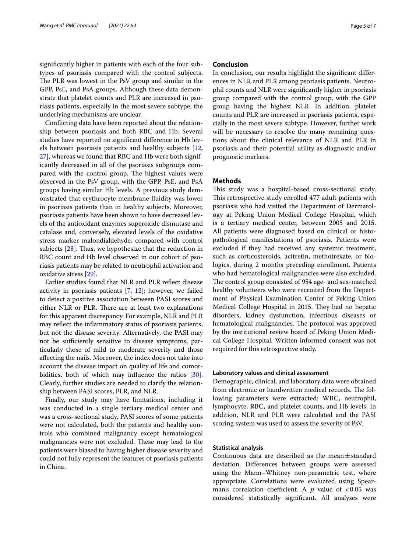signifcantly higher in patients with each of the four subtypes of psoriasis compared with the control subjects. The PLR was lowest in the PsV group and similar in the GPP, PsE, and PsA groups. Although these data demonstrate that platelet counts and PLR are increased in psoriasis patients, especially in the most severe subtype, the underlying mechanisms are unclear.

Conficting data have been reported about the relationship between psoriasis and both RBC and Hb. Several studies have reported no signifcant diference in Hb levels between psoriasis patients and healthy subjects [\[12](#page-5-10), [27\]](#page-5-24), whereas we found that RBC and Hb were both significantly decreased in all of the psoriasis subgroups compared with the control group. The highest values were observed in the PsV group, with the GPP, PsE, and PsA groups having similar Hb levels. A previous study demonstrated that erythrocyte membrane fuidity was lower in psoriasis patients than in healthy subjects. Moreover, psoriasis patients have been shown to have decreased levels of the antioxidant enzymes superoxide dismutase and catalase and, conversely, elevated levels of the oxidative stress marker malondialdehyde, compared with control subjects  $[28]$  $[28]$ . Thus, we hypothesize that the reduction in RBC count and Hb level observed in our cohort of psoriasis patients may be related to neutrophil activation and oxidative stress [\[29](#page-6-0)].

Earlier studies found that NLR and PLR refect disease activity in psoriasis patients  $[7, 12]$  $[7, 12]$  $[7, 12]$  $[7, 12]$ ; however, we failed to detect a positive association between PASI scores and either NLR or PLR. There are at least two explanations for this apparent discrepancy. For example, NLR and PLR may refect the infammatory status of psoriasis patients, but not the disease severity. Alternatively, the PASI may not be sufficiently sensitive to disease symptoms, particularly those of mild to moderate severity and those afecting the nails. Moreover, the index does not take into account the disease impact on quality of life and comorbidities, both of which may infuence the ratios [\[30](#page-6-1)]. Clearly, further studies are needed to clarify the relationship between PASI scores, PLR, and NLR.

Finally, our study may have limitations, including it was conducted in a single tertiary medical center and was a cross-sectional study, PASI scores of some patients were not calculated, both the patients and healthy controls who combined malignancy except hematological malignancies were not excluded. These may lead to the patients were biased to having higher disease severity and could not fully represent the features of psoriasis patients in China.

## **Conclusion**

In conclusion, our results highlight the signifcant diferences in NLR and PLR among psoriasis patients. Neutrophil counts and NLR were signifcantly higher in psoriasis group compared with the control group, with the GPP group having the highest NLR. In addition, platelet counts and PLR are increased in psoriasis patients, especially in the most severe subtype. However, further work will be necessary to resolve the many remaining questions about the clinical relevance of NLR and PLR in psoriasis and their potential utility as diagnostic and/or prognostic markers.

# **Methods**

This study was a hospital-based cross-sectional study. This retrospective study enrolled 477 adult patients with psoriasis who had visited the Department of Dermatology at Peking Union Medical College Hospital, which is a tertiary medical center, between 2005 and 2015. All patients were diagnosed based on clinical or histopathological manifestations of psoriasis. Patients were excluded if they had received any systemic treatment, such as corticosteroids, acitretin, methotrexate, or biologics, during 2 months preceding enrollment. Patients who had hematological malignancies were also excluded. The control group consisted of 954 age- and sex-matched healthy volunteers who were recruited from the Department of Physical Examination Center of Peking Union Medical College Hospital in 2015. They had no hepatic disorders, kidney dysfunction, infectious diseases or hematological malignancies. The protocol was approved by the institutional review board of Peking Union Medical College Hospital. Written informed consent was not required for this retrospective study.

### **Laboratory values and clinical assessment**

Demographic, clinical, and laboratory data were obtained from electronic or handwritten medical records. The following parameters were extracted: WBC, neutrophil, lymphocyte, RBC, and platelet counts, and Hb levels. In addition, NLR and PLR were calculated and the PASI scoring system was used to assess the severity of PsV.

# **Statistical analysis**

Continuous data are described as the mean $\pm$ standard deviation. Diferences between groups were assessed using the Mann–Whitney non-parametric test, where appropriate. Correlations were evaluated using Spearman's correlation coefficient. A  $p$  value of  $< 0.05$  was considered statistically signifcant. All analyses were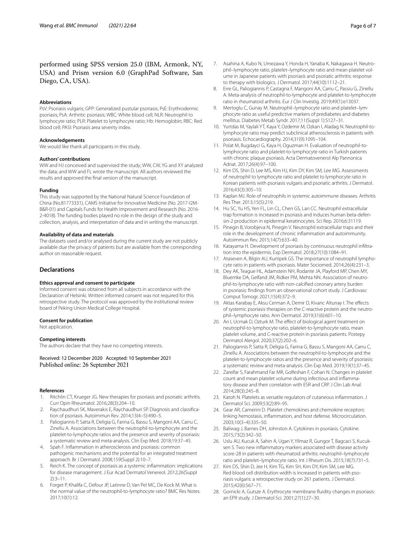performed using SPSS version 25.0 (IBM, Armonk, NY, USA) and Prism version 6.0 (GraphPad Software, San Diego, CA, USA).

#### **Abbreviations**

PsV: Psoriasis vulgaris; GPP: Generalized pustular psoriasis; PsE: Erythrodermic psoriasis; PsA: Arthritic psoriasis; WBC: White blood cell; NLR: Neutrophil to lymphocyte ratio; PLR: Platelet to lymphocyte ratio; Hb: Hemoglobin; RBC: Red blood cell; PASI: Psoriasis area severity index.

#### **Acknowledgements**

We would like thank all participants in this study.

#### **Authors' contributions**

WW and HJ conceived and supervised the study; WW, CW, YG and XY analyzed the data; and WW and FL wrote the manuscript. All authors reviewed the results and approved the fnal version of the manuscript.

#### **Funding**

This study was supported by the National Natural Science Foundation of China (No.81773331), CAMS Initiative for Innovative Medicine (No. 2017-I2M-B&R-01) and Capitals Funds for Health Improvement and Research (No. 2016-2-4018). The funding bodies played no role in the design of the study and collection, analysis, and interpretation of data and in writing the manuscript.

#### **Availability of data and materials**

The datasets used and/or analysed during the current study are not publicly available due the privacy of patients but are available from the corresponding author on reasonable request.

# **Declarations**

## **Ethics approval and consent to participate**

Informed consent was obtained from all subjects in accordance with the Declaration of Helsinki. Written informed consent was not required for this retrospective study. The protocol was approved by the institutional review board of Peking Union Medical College Hospital.

#### **Consent for publication**

Not application.

#### **Competing interests**

The authors declare that they have no competing interests.

Received: 12 December 2020 Accepted: 10 September 2021 Published online: 26 September 2021

#### **References**

- <span id="page-5-0"></span>Ritchlin CT, Krueger JG. New therapies for psoriasis and psoriatic arthritis. Curr Opin Rheumatol. 2016;28(3):204–10.
- <span id="page-5-1"></span>Raychaudhuri SK, Maverakis E, Raychaudhuri SP. Diagnosis and classification of psoriasis. Autoimmun Rev. 2014;13(4–5):490–5.
- <span id="page-5-2"></span>3. Paliogiannis P, Satta R, Deligia G, Farina G, Bassu S, Mangoni AA, Carru C, Zinellu A. Associations between the neutrophil-to-lymphocyte and the platelet-to-lymphocyte ratios and the presence and severity of psoriasis: a systematic review and meta-analysis. Clin Exp Med. 2018;19:37–45.
- <span id="page-5-3"></span>4. Spah F. Infammation in atherosclerosis and psoriasis: common pathogenic mechanisms and the potential for an integrated treatment approach. Br J Dermatol. 2008;159(Suppl 2):10–7.
- <span id="page-5-4"></span>5. Reich K. The concept of psoriasis as a systemic infammation: implications for disease management. J Eur Acad Dermatol Venereol. 2012;26(Suppl 2):3–11.
- <span id="page-5-5"></span>6. Forget P, Khalifa C, Defour JP, Latinne D, Van Pel MC, De Kock M. What is the normal value of the neutrophil-to-lymphocyte ratio? BMC Res Notes. 2017;10(1):12.
- <span id="page-5-6"></span>7. Asahina A, Kubo N, Umezawa Y, Honda H, Yanaba K, Nakagawa H. Neutrophil–lymphocyte ratio, platelet–lymphocyte ratio and mean platelet volume in Japanese patients with psoriasis and psoriatic arthritis: response to therapy with biologics. J Dermatol. 2017;44(10):1112–21.
- <span id="page-5-7"></span>8. Erre GL, Paliogiannis P, Castagna F, Mangoni AA, Carru C, Passiu G, Zinellu A. Meta-analysis of neutrophil-to-lymphocyte and platelet-to-lymphocyte ratio in rheumatoid arthritis. Eur J Clin Investig. 2019;49(1):e13037.
- 9. Mertoglu C, Gunay M. Neutrophil–lymphocyte ratio and platelet–lymphocyte ratio as useful predictive markers of prediabetes and diabetes mellitus. Diabetes Metab Syndr. 2017;11(Suppl 1):S127–31.
- <span id="page-5-8"></span>10. Yurtdas M, Yaylali YT, Kaya Y, Ozdemir M, Ozkan I, Aladag N. Neutrophil-tolymphocyte ratio may predict subclinical atherosclerosis in patients with psoriasis. Echocardiography. 2014;31(9):1095–104.
- <span id="page-5-9"></span>11. Polat M, Bugdayci G, Kaya H, Oguzman H. Evaluation of neutrophil-tolymphocyte ratio and platelet-to-lymphocyte ratio in Turkish patients with chronic plaque psoriasis. Acta Dermatovenerol Alp Pannonica Adriat. 2017;26(4):97–100.
- <span id="page-5-10"></span>12. Kim DS, Shin D, Lee MS, Kim HJ, Kim DY, Kim SM, Lee MG. Assessments of neutrophil to lymphocyte ratio and platelet to lymphocyte ratio in Korean patients with psoriasis vulgaris and psoriatic arthritis. J Dermatol. 2016;43(3):305–10.
- <span id="page-5-11"></span>13. Kaplan MJ. Role of neutrophils in systemic autoimmune diseases. Arthritis Res Ther. 2013;15(5):219.
- <span id="page-5-12"></span>14. Hu SC, Yu HS, Yen FL, Lin CL, Chen GS, Lan CC. Neutrophil extracellular trap formation is increased in psoriasis and induces human beta-defensin-2 production in epidermal keratinocytes. Sci Rep. 2016;6:31119.
- <span id="page-5-13"></span>15. Pinegin B, Vorobjeva N, Pinegin V. Neutrophil extracellular traps and their role in the development of chronic infammation and autoimmunity. Autoimmun Rev. 2015;14(7):633–40.
- <span id="page-5-14"></span>16. Katayama H. Development of psoriasis by continuous neutrophil infiltration into the epidermis. Exp Dermatol. 2018;27(10):1084–91.
- <span id="page-5-15"></span>17. Ataseven A, Bilgin AU, Kurtipek GS. The importance of neutrophil lymphocyte ratio in patients with psoriasis. Mater Sociomed. 2014;26(4):231–3.
- <span id="page-5-16"></span>18. Dey AK, Teague HL, Adamstein NH, Rodante JA, Playford MP, Chen MY, Bluemke DA, Gelfand JM, Ridker PM, Mehta NN. Association of neutrophil-to-lymphocyte ratio with non-calcifed coronary artery burden in psoriasis: fndings from an observational cohort study. J Cardiovasc Comput Tomogr. 2021;15(4):372–9.
- <span id="page-5-17"></span>19. Aktas Karabay E, Aksu Cerman A, Demir D, Kivanc Altunay I. The effects of systemic psoriasis therapies on the C-reactive protein and the neutrophil–lymphocyte ratio. Ann Dermatol. 2019;31(6):601–10.
- <span id="page-5-18"></span>20. An I, Ucmak D, Ozturk M. The effect of biological agent treatment on neutrophil-to-lymphocyte ratio, platelet-to-lymphocyte ratio, mean platelet volume, and C-reactive protein in psoriasis patients. Postepy Dermatol Alergol. 2020;37(2):202–6.
- <span id="page-5-19"></span>21. Paliogiannis P, Satta R, Deligia G, Farina G, Bassu S, Mangoni AA, Carru C, Zinellu A. Associations between the neutrophil-to-lymphocyte and the platelet-to-lymphocyte ratios and the presence and severity of psoriasis: a systematic review and meta-analysis. Clin Exp Med. 2019;19(1):37–45.
- <span id="page-5-20"></span>22. Zareifar S, Farahmand Far MR, Golfeshan F, Cohan N. Changes in platelet count and mean platelet volume during infectious and inflammatory disease and their correlation with ESR and CRP. J Clin Lab Anal. 2014;28(3):245–8.
- <span id="page-5-21"></span>23. Katoh N. Platelets as versatile regulators of cutaneous inflammation. J Dermatol Sci. 2009;53(2):89–95.
- 24. Gear AR, Camerini D. Platelet chemokines and chemokine receptors: linking hemostasis, infammation, and host defense. Microcirculation. 2003;10(3–4):335–50.
- <span id="page-5-22"></span>25. Baliwag J, Barnes DH, Johnston A. Cytokines in psoriasis. Cytokine. 2015;73(2):342–50.
- <span id="page-5-23"></span>26. Uslu AU, Kucuk A, Sahin A, Ugan Y, Yilmaz R, Gungor T, Bagcaci S, Kucuksen S. Two new infammatory markers associated with disease activity score-28 in patients with rheumatoid arthritis: neutrophil–lymphocyte ratio and platelet–lymphocyte ratio. Int J Rheum Dis. 2015;18(7):731–5.
- <span id="page-5-24"></span>27. Kim DS, Shin D, Jee H, Kim TG, Kim SH, Kim DY, Kim SM, Lee MG. Red blood cell distribution width is increased in patients with psoriasis vulgaris: a retrospective study on 261 patients. J Dermatol. 2015;42(6):567–71.
- <span id="page-5-25"></span>28. Gornicki A, Gutsze A. Erythrocyte membrane fuidity changes in psoriasis: an EPR study. J Dermatol Sci. 2001;27(1):27–30.